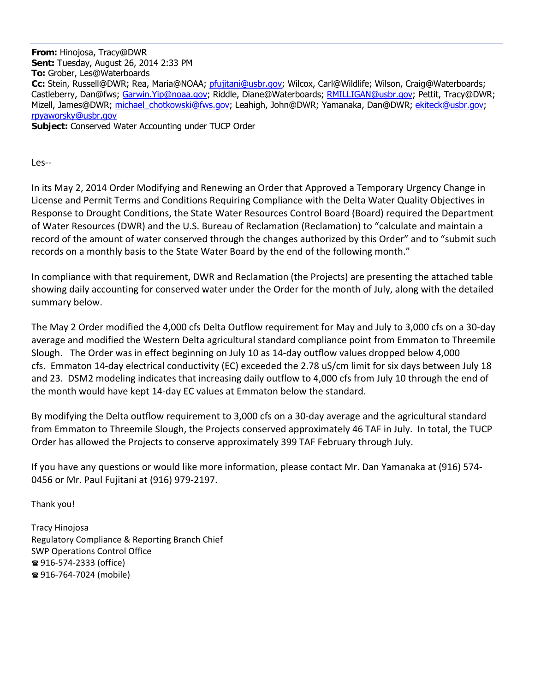**From:** Hinojosa, Tracy@DWR **Sent:** Tuesday, August 26, 2014 2:33 PM **To:** Grober, Les@Waterboards **Cc:** Stein, Russell@DWR; Rea, Maria@NOAA; pfujitani@usbr.gov; Wilcox, Carl@Wildlife; Wilson, Craig@Waterboards; Castleberry, Dan@fws; Garwin.Yip@noaa.gov; Riddle, Diane@Waterboards; RMILLIGAN@usbr.gov; Pettit, Tracy@DWR; Mizell, James@DWR; michael chotkowski@fws.gov; Leahigh, John@DWR; Yamanaka, Dan@DWR; ekiteck@usbr.gov; rpyaworsky@usbr.gov **Subject:** Conserved Water Accounting under TUCP Order

Les‐‐

In its May 2, 2014 Order Modifying and Renewing an Order that Approved a Temporary Urgency Change in License and Permit Terms and Conditions Requiring Compliance with the Delta Water Quality Objectives in Response to Drought Conditions, the State Water Resources Control Board (Board) required the Department of Water Resources (DWR) and the U.S. Bureau of Reclamation (Reclamation) to "calculate and maintain a record of the amount of water conserved through the changes authorized by this Order" and to "submit such records on a monthly basis to the State Water Board by the end of the following month."

In compliance with that requirement, DWR and Reclamation (the Projects) are presenting the attached table showing daily accounting for conserved water under the Order for the month of July, along with the detailed summary below.

The May 2 Order modified the 4,000 cfs Delta Outflow requirement for May and July to 3,000 cfs on a 30‐day average and modified the Western Delta agricultural standard compliance point from Emmaton to Threemile Slough. The Order was in effect beginning on July 10 as 14‐day outflow values dropped below 4,000 cfs. Emmaton 14‐day electrical conductivity (EC) exceeded the 2.78 uS/cm limit for six days between July 18 and 23. DSM2 modeling indicates that increasing daily outflow to 4,000 cfs from July 10 through the end of the month would have kept 14‐day EC values at Emmaton below the standard.

By modifying the Delta outflow requirement to 3,000 cfs on a 30‐day average and the agricultural standard from Emmaton to Threemile Slough, the Projects conserved approximately 46 TAF in July. In total, the TUCP Order has allowed the Projects to conserve approximately 399 TAF February through July.

If you have any questions or would like more information, please contact Mr. Dan Yamanaka at (916) 574‐ 0456 or Mr. Paul Fujitani at (916) 979‐2197.

Thank you!

Tracy Hinojosa Regulatory Compliance & Reporting Branch Chief SWP Operations Control Office 916‐574‐2333 (office) **■ 916-764-7024 (mobile)**